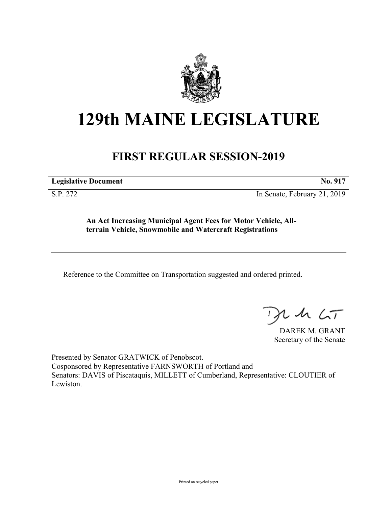

## **129th MAINE LEGISLATURE**

## **FIRST REGULAR SESSION-2019**

**Legislative Document No. 917**

S.P. 272 In Senate, February 21, 2019

**An Act Increasing Municipal Agent Fees for Motor Vehicle, Allterrain Vehicle, Snowmobile and Watercraft Registrations**

Reference to the Committee on Transportation suggested and ordered printed.

 $125$ 

DAREK M. GRANT Secretary of the Senate

Presented by Senator GRATWICK of Penobscot. Cosponsored by Representative FARNSWORTH of Portland and Senators: DAVIS of Piscataquis, MILLETT of Cumberland, Representative: CLOUTIER of Lewiston.